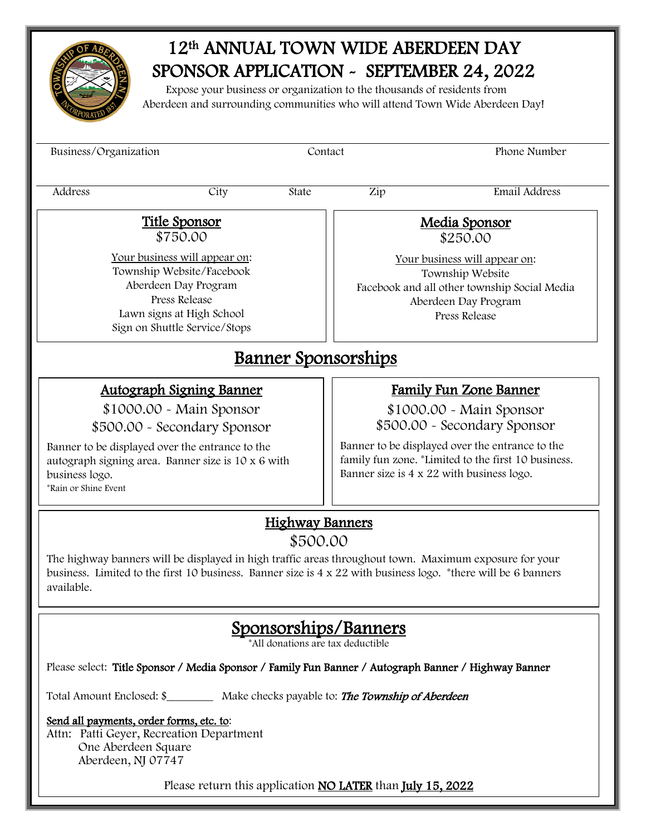

## 12th ANNUAL TOWN WIDE ABERDEEN DAY SPONSOR APPLICATION - SEPTEMBER 24, 2022

 Expose your business or organization to the thousands of residents from Aberdeen and surrounding communities who will attend Town Wide Aberdeen Day!

| Business/Organization                                                                                                                                                                                                            |                                                                                             | Contact                            |                                                                                                                                                                                | Phone Number                                                                                                                                                                                                                                                                                                                                                                                                                                                                        |  |  |  |
|----------------------------------------------------------------------------------------------------------------------------------------------------------------------------------------------------------------------------------|---------------------------------------------------------------------------------------------|------------------------------------|--------------------------------------------------------------------------------------------------------------------------------------------------------------------------------|-------------------------------------------------------------------------------------------------------------------------------------------------------------------------------------------------------------------------------------------------------------------------------------------------------------------------------------------------------------------------------------------------------------------------------------------------------------------------------------|--|--|--|
| Address                                                                                                                                                                                                                          | City                                                                                        | State                              | Zip                                                                                                                                                                            | Email Address                                                                                                                                                                                                                                                                                                                                                                                                                                                                       |  |  |  |
| <u>Title Sponsor</u><br>\$750.00<br>Your business will appear on:<br>Township Website/Facebook<br>Aberdeen Day Program<br><b>Press Release</b><br>Lawn signs at High School<br>Sign on Shuttle Service/Stops                     |                                                                                             |                                    | Media Sponsor<br>\$250.00<br>Your business will appear on:<br>Township Website<br>Facebook and all other township Social Media<br>Aberdeen Day Program<br><b>Press Release</b> |                                                                                                                                                                                                                                                                                                                                                                                                                                                                                     |  |  |  |
| <u>Banner Sponsorships</u>                                                                                                                                                                                                       |                                                                                             |                                    |                                                                                                                                                                                |                                                                                                                                                                                                                                                                                                                                                                                                                                                                                     |  |  |  |
| Banner to be displayed over the entrance to the<br>autograph signing area. Banner size is 10 x 6 with<br>business logo.<br>*Rain or Shine Event<br>available.                                                                    | <b>Autograph Signing Banner</b><br>\$1000.00 - Main Sponsor<br>\$500.00 - Secondary Sponsor | <b>Highway Banners</b><br>\$500.00 |                                                                                                                                                                                | <b>Family Fun Zone Banner</b><br>\$1000.00 - Main Sponsor<br>\$500.00 - Secondary Sponsor<br>Banner to be displayed over the entrance to the<br>family fun zone. *Limited to the first 10 business.<br>Banner size is 4 x 22 with business logo.<br>The highway banners will be displayed in high traffic areas throughout town. Maximum exposure for your<br>business. Limited to the first 10 business. Banner size is $4 \times 22$ with business logo. *there will be 6 banners |  |  |  |
| Total Amount Enclosed: \$__________ Make checks payable to: <b>The Township of Aberdeen</b><br>Send all payments, order forms, etc. to:<br>Attn: Patti Geyer, Recreation Department<br>One Aberdeen Square<br>Aberdeen, NJ 07747 |                                                                                             | All donations are tax deductible   | Sponsorships/Banners                                                                                                                                                           | Please select: Title Sponsor / Media Sponsor / Family Fun Banner / Autograph Banner / Highway Banner                                                                                                                                                                                                                                                                                                                                                                                |  |  |  |
|                                                                                                                                                                                                                                  | Please return this application NO LATER than July 15, 2022                                  |                                    |                                                                                                                                                                                |                                                                                                                                                                                                                                                                                                                                                                                                                                                                                     |  |  |  |